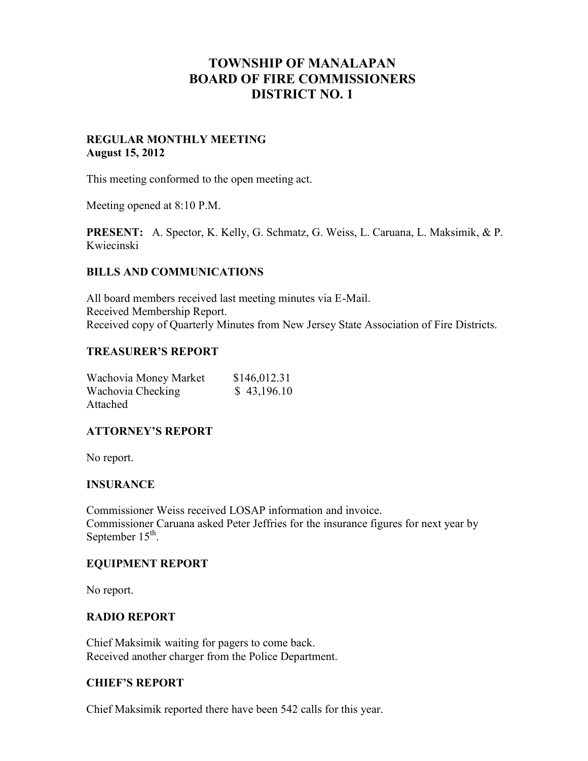# **TOWNSHIP OF MANALAPAN BOARD OF FIRE COMMISSIONERS DISTRICT NO. 1**

## **REGULAR MONTHLY MEETING August 15, 2012**

This meeting conformed to the open meeting act.

Meeting opened at 8:10 P.M.

**PRESENT:** A. Spector, K. Kelly, G. Schmatz, G. Weiss, L. Caruana, L. Maksimik, & P. Kwiecinski

## **BILLS AND COMMUNICATIONS**

All board members received last meeting minutes via E-Mail. Received Membership Report. Received copy of Quarterly Minutes from New Jersey State Association of Fire Districts.

#### **TREASURER'S REPORT**

| Wachovia Money Market | \$146,012.31 |
|-----------------------|--------------|
| Wachovia Checking     | \$43,196.10  |
| Attached              |              |

# **ATTORNEY'S REPORT**

No report.

#### **INSURANCE**

Commissioner Weiss received LOSAP information and invoice. Commissioner Caruana asked Peter Jeffries for the insurance figures for next year by September  $15^{\text{th}}$ .

#### **EQUIPMENT REPORT**

No report.

#### **RADIO REPORT**

Chief Maksimik waiting for pagers to come back. Received another charger from the Police Department.

#### **CHIEF'S REPORT**

Chief Maksimik reported there have been 542 calls for this year.